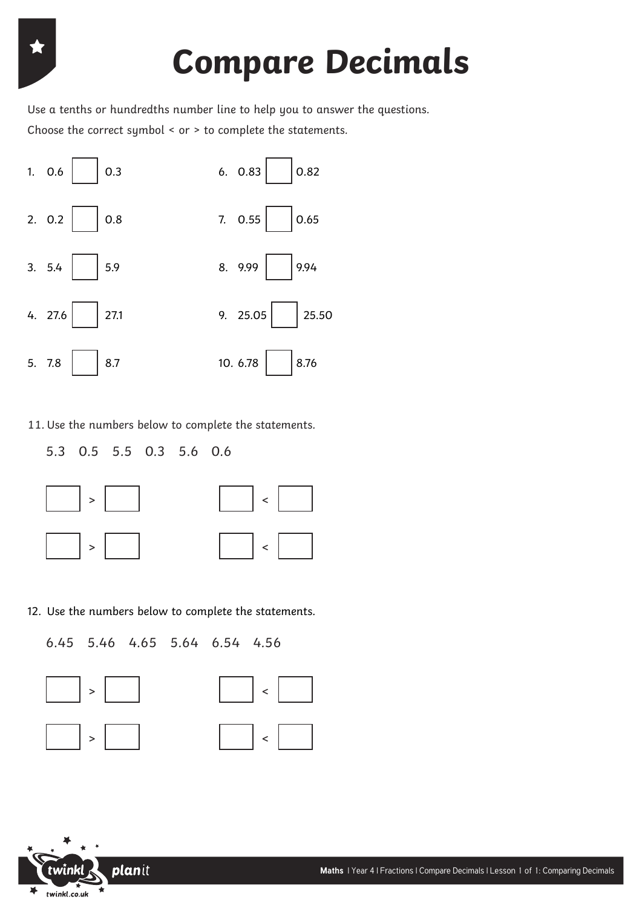# **Compare Decimals**

Choose the correct symbol < or > to complete the statements. Use a tenths or hundredths number line to help you to answer the questions.



11. Use the numbers below to complete the statements.

5.3 0.5 5.5 0.3 5.6 0.6



12. Use the numbers below to complete the statements.

```
6.45 5.46 4.65 5.64 6.54 4.56
```




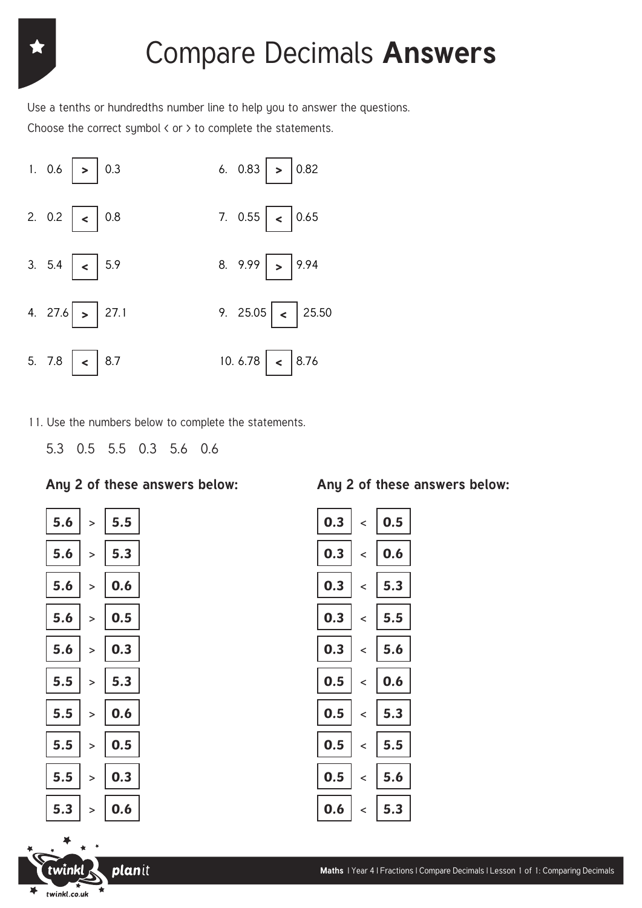## Compare Decimals **Answers**

Choose the correct symbol  $\langle$  or  $\rangle$  to complete the statements. Use a tenths or hundredths number line to help you to answer the questions.



11. Use the numbers below to complete the statements.

5.3 0.5 5.5 0.3 5.6 0.6

### **Any 2 of these answers below: Any 2 of these answers below:**



planit

twînkl

twinkl.co.uk

 $\blacktriangleright$ 

| $\vert$ 0.3 $\vert$               | $\frac{1}{2}$ 0.5                                                             |
|-----------------------------------|-------------------------------------------------------------------------------|
| $\vert$ 0.3 $\vert$               | $\epsilon$ 0.6                                                                |
| $\vert$ 0.3 $\vert$               | $\begin{array}{ c c } \hline \textbf{5.3} \end{array}$                        |
| $\vert$ 0.3 $\vert$               | $\begin{array}{ c c } \hline \texttt{.5} & \texttt{5.5} \\\hline \end{array}$ |
| $\vert$ 0.3 $\vert$               | $\begin{array}{ c c } \hline \textbf{5.6} \end{array}$                        |
| $\vert$ 0.5 $\vert$               | $\begin{array}{ c c } \hline \textbf{.6} & \textbf{0.6} \end{array}$          |
| $\left\lceil$ 0.5 $\right\rfloor$ | $\begin{array}{ c c } \hline \textbf{5.3} \end{array}$                        |
| $\vert$ 0.5 $\vert$               | $\begin{array}{ c c } \hline \texttt{5.5} \end{array}$                        |
| $\vert$ 0.5 $\vert$               | $\langle$ 5.6                                                                 |
| $\vert$ 0.6 $\vert$               | $\langle$ 5.3                                                                 |

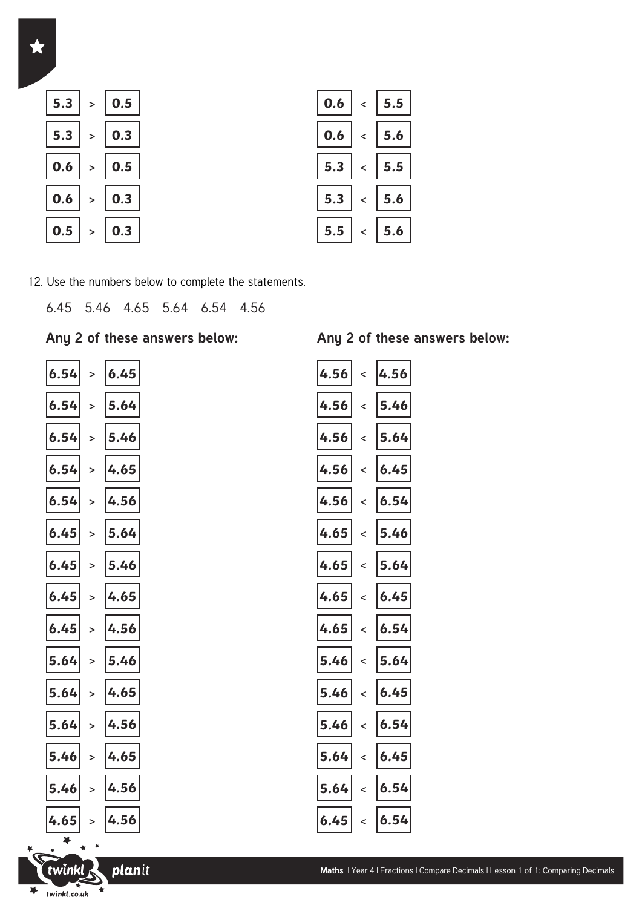

| 0.5         |  | $\mid$ 0.6 $\mid$ < $\mid$ 5.5 $\mid$     |
|-------------|--|-------------------------------------------|
| 0.3 $\vert$ |  | $\vert$ 0.6 $\vert$ < $\vert$ 5.6 $\vert$ |
| 0.5 $\vert$ |  | 5.3  < 5.5                                |
| 0.3 $ $     |  | 5.3  <  5.6                               |
| 0.3         |  | 5.5  <  5.6                               |

12. Use the numbers below to complete the statements.

6.45 5.46 4.65 5.64 6.54 4.56

### **Any 2 of these answers below: Any 2 of these answers below:**

> > > > > **6.54**  $\vert$  >  $\vert$  **6.45**  $\vert$  **4.56**  $\vert$  4.56  $\vert$  4.56 > > > > > > > > > **6.54 6.54 6.54 6.54 6.45 6.45 6.45 6.45 5.64 5.64 5.64 5.46 5.46 4.65 6.45**

 $\blacktriangleright$ 

twinkl

twinkl.co.uk

 $\blacktriangleright$ 

planit

飞

| 6.45 | 4.56 | $\overline{\phantom{a}}$ | 4.56 |
|------|------|--------------------------|------|
| 5.64 | 4.56 | $\overline{\phantom{a}}$ | 5.46 |
| 5.46 | 4.56 | $\overline{a}$           | 5.64 |
| 4.65 | 4.56 | $\overline{a}$           | 6.45 |
| 4.56 | 4.56 | $\prec$                  | 6.54 |
| 5.64 | 4.65 | $\overline{a}$           | 5.46 |
| 5.46 | 4.65 | $\overline{a}$           | 5.64 |
| 4.65 | 4.65 | $\overline{a}$           | 6.45 |
| 4.56 | 4.65 | $\prec$                  | 6.54 |
| 5.46 | 5.46 | $\prec$                  | 5.64 |
| 4.65 | 5.46 | $\overline{a}$           | 6.45 |
| 4.56 | 5.46 | $\prec$                  | 6.54 |
| 4.65 | 5.64 | $\prec$                  | 6.45 |
| 4.56 | 5.64 | $\prec$                  | 6.54 |
| 4.56 | 6.45 | $\prec$                  | 6.54 |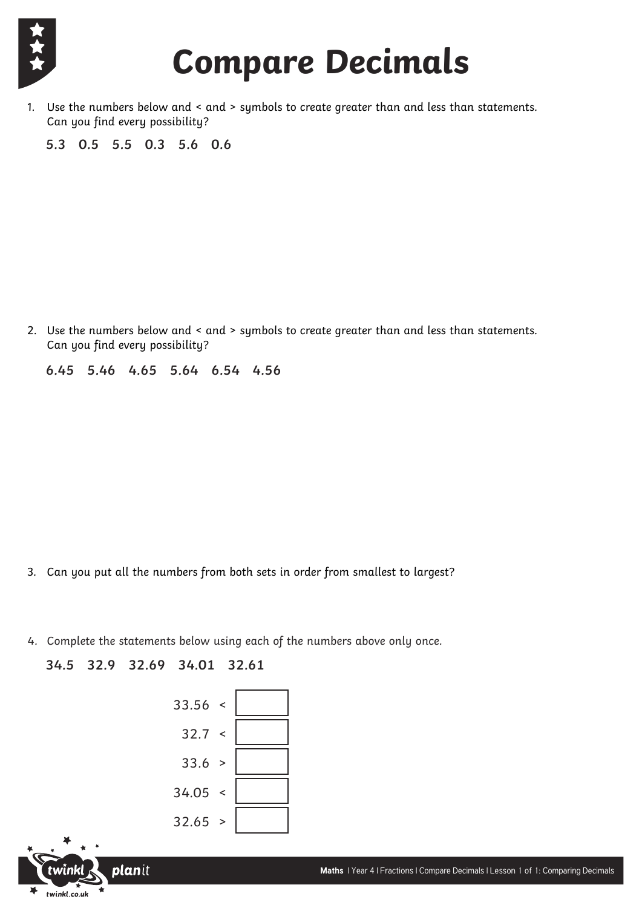

## **Compare Decimals**

1. Use the numbers below and < and > symbols to create greater than and less than statements. Can you find every possibility?

**5.3 0.5 5.5 0.3 5.6 0.6**

2. Use the numbers below and < and > symbols to create greater than and less than statements. Can you find every possibility?

**6.45 5.46 4.65 5.64 6.54 4.56** 

- 3. Can you put all the numbers from both sets in order from smallest to largest?
- 4. Complete the statements below using each of the numbers above only once.

**34.5 32.9 32.69 34.01 32.61**